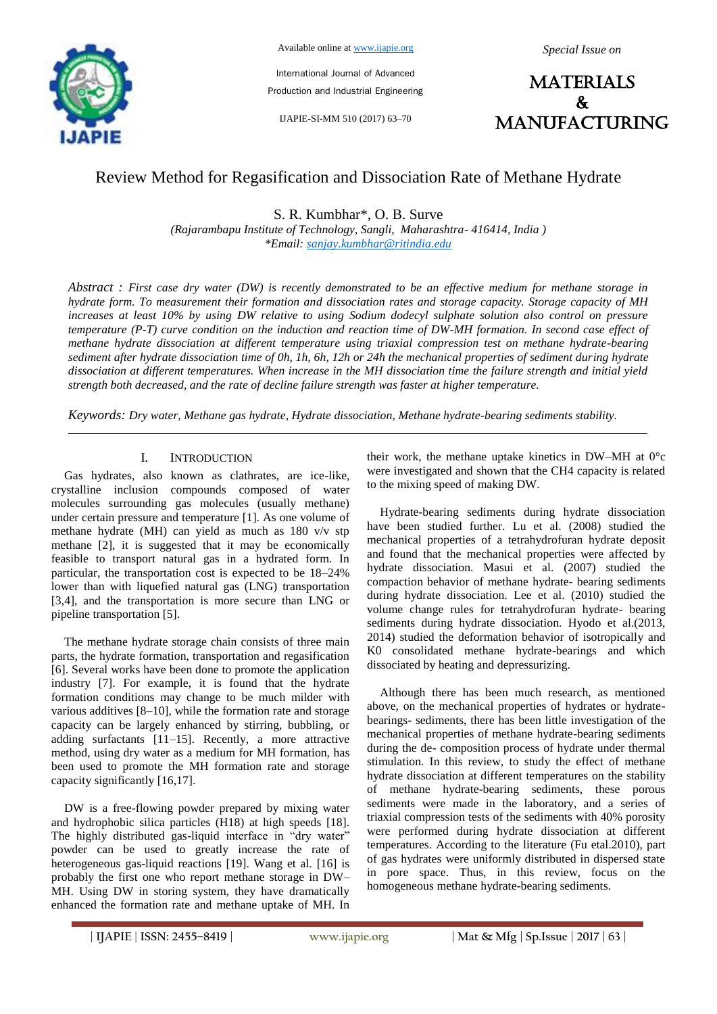

Available online at www.ijapie.org

*Special Issue on*

International Journal of Advanced Production and Industrial Engineering

IJAPIE-SI-MM 510 (2017) 63–70



# Review Method for Regasification and Dissociation Rate of Methane Hydrate

S. R. Kumbhar\*, O. B. Surve

*(Rajarambapu Institute of Technology, Sangli, Maharashtra- 416414, India ) \*Email: sanjay.kumbhar@ritindia.edu*

*Abstract : First case dry water (DW) is recently demonstrated to be an effective medium for methane storage in hydrate form. To measurement their formation and dissociation rates and storage capacity. Storage capacity of MH increases at least 10% by using DW relative to using Sodium dodecyl sulphate solution also control on pressure temperature (P-T) curve condition on the induction and reaction time of DW-MH formation. In second case effect of methane hydrate dissociation at different temperature using triaxial compression test on methane hydrate-bearing sediment after hydrate dissociation time of 0h, 1h, 6h, 12h or 24h the mechanical properties of sediment during hydrate dissociation at different temperatures. When increase in the MH dissociation time the failure strength and initial yield strength both decreased, and the rate of decline failure strength was faster at higher temperature.*

*Keywords: Dry water, Methane gas hydrate, Hydrate dissociation, Methane hydrate-bearing sediments stability.*

# I. INTRODUCTION

Gas hydrates, also known as clathrates, are ice-like, crystalline inclusion compounds composed of water molecules surrounding gas molecules (usually methane) under certain pressure and temperature [1]. As one volume of methane hydrate (MH) can yield as much as 180 v/v stp methane [2], it is suggested that it may be economically feasible to transport natural gas in a hydrated form. In particular, the transportation cost is expected to be 18–24% lower than with liquefied natural gas (LNG) transportation [3,4], and the transportation is more secure than LNG or pipeline transportation [5].

The methane hydrate storage chain consists of three main parts, the hydrate formation, transportation and regasification [6]. Several works have been done to promote the application industry [7]. For example, it is found that the hydrate formation conditions may change to be much milder with various additives [8–10], while the formation rate and storage capacity can be largely enhanced by stirring, bubbling, or adding surfactants [11–15]. Recently, a more attractive method, using dry water as a medium for MH formation, has been used to promote the MH formation rate and storage capacity significantly [16,17].

DW is a free-flowing powder prepared by mixing water and hydrophobic silica particles (H18) at high speeds [18]. The highly distributed gas-liquid interface in "dry water" powder can be used to greatly increase the rate of heterogeneous gas-liquid reactions [19]. Wang et al. [16] is probably the first one who report methane storage in DW– MH. Using DW in storing system, they have dramatically enhanced the formation rate and methane uptake of MH. In their work, the methane uptake kinetics in DW–MH at 0°c were investigated and shown that the CH4 capacity is related to the mixing speed of making DW.

Hydrate-bearing sediments during hydrate dissociation have been studied further. Lu et al. (2008) studied the mechanical properties of a tetrahydrofuran hydrate deposit and found that the mechanical properties were affected by hydrate dissociation. Masui et al. (2007) studied the compaction behavior of methane hydrate- bearing sediments during hydrate dissociation. Lee et al. (2010) studied the volume change rules for tetrahydrofuran hydrate- bearing sediments during hydrate dissociation. Hyodo et al.(2013, 2014) studied the deformation behavior of isotropically and K0 consolidated methane hydrate-bearings and which dissociated by heating and depressurizing.

Although there has been much research, as mentioned above, on the mechanical properties of hydrates or hydratebearings- sediments, there has been little investigation of the mechanical properties of methane hydrate-bearing sediments during the de- composition process of hydrate under thermal stimulation. In this review, to study the effect of methane hydrate dissociation at different temperatures on the stability of methane hydrate-bearing sediments, these porous sediments were made in the laboratory, and a series of triaxial compression tests of the sediments with 40% porosity were performed during hydrate dissociation at different temperatures. According to the literature (Fu etal.2010), part of gas hydrates were uniformly distributed in dispersed state in pore space. Thus, in this review, focus on the homogeneous methane hydrate-bearing sediments.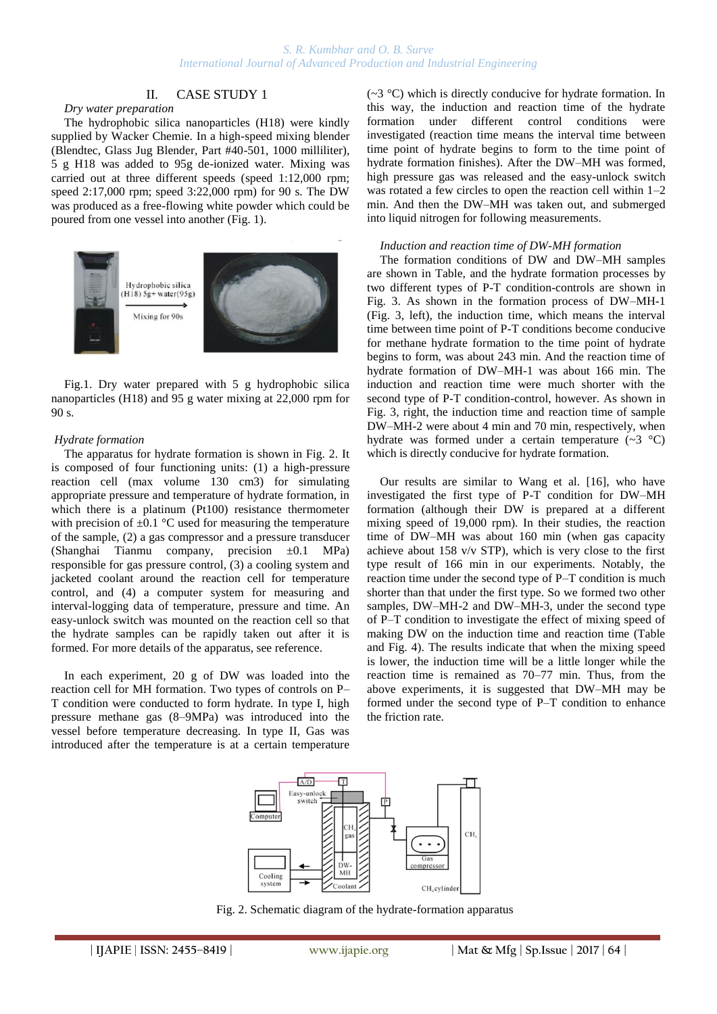# II. CASE STUDY 1

*Dry water preparation*

The hydrophobic silica nanoparticles (H18) were kindly supplied by Wacker Chemie. In a high-speed mixing blender (Blendtec, Glass Jug Blender, Part #40-501, 1000 milliliter), 5 g H18 was added to 95g de-ionized water. Mixing was carried out at three different speeds (speed 1:12,000 rpm; speed 2:17,000 rpm; speed 3:22,000 rpm) for 90 s. The DW was produced as a free-flowing white powder which could be poured from one vessel into another (Fig. 1).



Fig.1. Dry water prepared with 5 g hydrophobic silica nanoparticles (H18) and 95 g water mixing at 22,000 rpm for 90 s.

## *Hydrate formation*

The apparatus for hydrate formation is shown in Fig. 2. It is composed of four functioning units: (1) a high-pressure reaction cell (max volume 130 cm3) for simulating appropriate pressure and temperature of hydrate formation, in which there is a platinum (Pt100) resistance thermometer with precision of  $\pm 0.1$  °C used for measuring the temperature of the sample, (2) a gas compressor and a pressure transducer (Shanghai Tianmu company, precision  $\pm 0.1$  MPa) responsible for gas pressure control, (3) a cooling system and jacketed coolant around the reaction cell for temperature control, and (4) a computer system for measuring and interval-logging data of temperature, pressure and time. An easy-unlock switch was mounted on the reaction cell so that the hydrate samples can be rapidly taken out after it is formed. For more details of the apparatus, see reference.

In each experiment, 20 g of DW was loaded into the reaction cell for MH formation. Two types of controls on P– T condition were conducted to form hydrate. In type I, high pressure methane gas (8–9MPa) was introduced into the vessel before temperature decreasing. In type II, Gas was introduced after the temperature is at a certain temperature  $(\sim 3 \degree C)$  which is directly conducive for hydrate formation. In this way, the induction and reaction time of the hydrate formation under different control conditions were investigated (reaction time means the interval time between time point of hydrate begins to form to the time point of hydrate formation finishes). After the DW–MH was formed, high pressure gas was released and the easy-unlock switch was rotated a few circles to open the reaction cell within 1–2 min. And then the DW–MH was taken out, and submerged into liquid nitrogen for following measurements.

#### *Induction and reaction time of DW-MH formation*

The formation conditions of DW and DW–MH samples are shown in Table, and the hydrate formation processes by two different types of P-T condition-controls are shown in Fig. 3. As shown in the formation process of DW–MH-1 (Fig. 3, left), the induction time, which means the interval time between time point of P-T conditions become conducive for methane hydrate formation to the time point of hydrate begins to form, was about 243 min. And the reaction time of hydrate formation of DW–MH-1 was about 166 min. The induction and reaction time were much shorter with the second type of P-T condition-control, however. As shown in Fig. 3, right, the induction time and reaction time of sample DW–MH-2 were about 4 min and 70 min, respectively, when hydrate was formed under a certain temperature (~3 °C) which is directly conducive for hydrate formation.

Our results are similar to Wang et al. [16], who have investigated the first type of P-T condition for DW–MH formation (although their DW is prepared at a different mixing speed of 19,000 rpm). In their studies, the reaction time of DW–MH was about 160 min (when gas capacity achieve about 158 v/v STP), which is very close to the first type result of 166 min in our experiments. Notably, the reaction time under the second type of P–T condition is much shorter than that under the first type. So we formed two other samples, DW–MH-2 and DW–MH-3, under the second type of P–T condition to investigate the effect of mixing speed of making DW on the induction time and reaction time (Table and Fig. 4). The results indicate that when the mixing speed is lower, the induction time will be a little longer while the reaction time is remained as 70–77 min. Thus, from the above experiments, it is suggested that DW–MH may be formed under the second type of P–T condition to enhance the friction rate.



Fig. 2. Schematic diagram of the hydrate-formation apparatus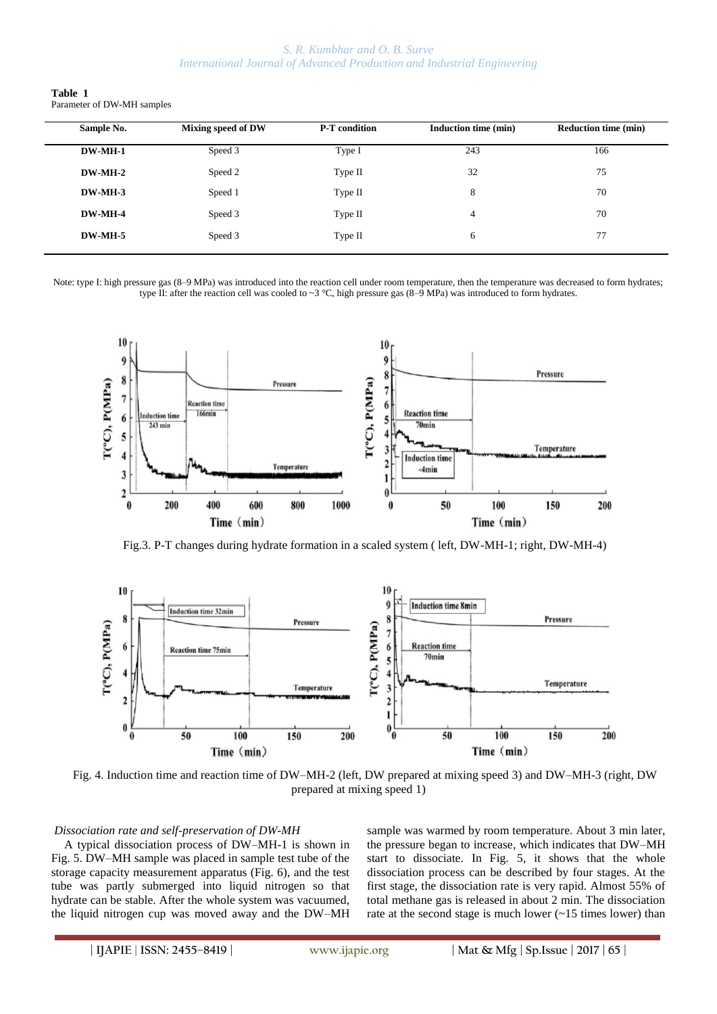| Table 1 |                            |
|---------|----------------------------|
|         | Parameter of DW-MH samples |

| Sample No. | Mixing speed of DW | <b>P-T</b> condition | Induction time (min) | <b>Reduction time (min)</b> |
|------------|--------------------|----------------------|----------------------|-----------------------------|
| DW-MH-1    | Speed 3            | Type I               | 243                  | 166                         |
| $DW-MH-2$  | Speed 2            | Type II              | 32                   | 75                          |
| $DW-MH-3$  | Speed 1            | Type II              | 8                    | 70                          |
| DW-MH-4    | Speed 3            | Type II              | 4                    | 70                          |
| DW-MH-5    | Speed 3            | Type II              | 6                    | 77                          |
|            |                    |                      |                      |                             |

Note: type I: high pressure gas  $(8-9 \text{ MPa})$  was introduced into the reaction cell under room temperature, then the temperature was decreased to form hydrates; type II: after the reaction cell was cooled to  $\sim$ 3 °C, high pressure gas (8–9 MPa) was introduced to form hydrates.



Fig.3. P-T changes during hydrate formation in a scaled system ( left, DW-MH-1; right, DW-MH-4)



Fig. 4. Induction time and reaction time of DW–MH-2 (left, DW prepared at mixing speed 3) and DW–MH-3 (right, DW prepared at mixing speed 1)

#### *Dissociation rate and self-preservation of DW-MH*

A typical dissociation process of DW–MH-1 is shown in Fig. 5. DW–MH sample was placed in sample test tube of the storage capacity measurement apparatus (Fig. 6), and the test tube was partly submerged into liquid nitrogen so that hydrate can be stable. After the whole system was vacuumed, the liquid nitrogen cup was moved away and the DW–MH sample was warmed by room temperature. About 3 min later, the pressure began to increase, which indicates that DW–MH start to dissociate. In Fig. 5, it shows that the whole dissociation process can be described by four stages. At the first stage, the dissociation rate is very rapid. Almost 55% of total methane gas is released in about 2 min. The dissociation rate at the second stage is much lower (~15 times lower) than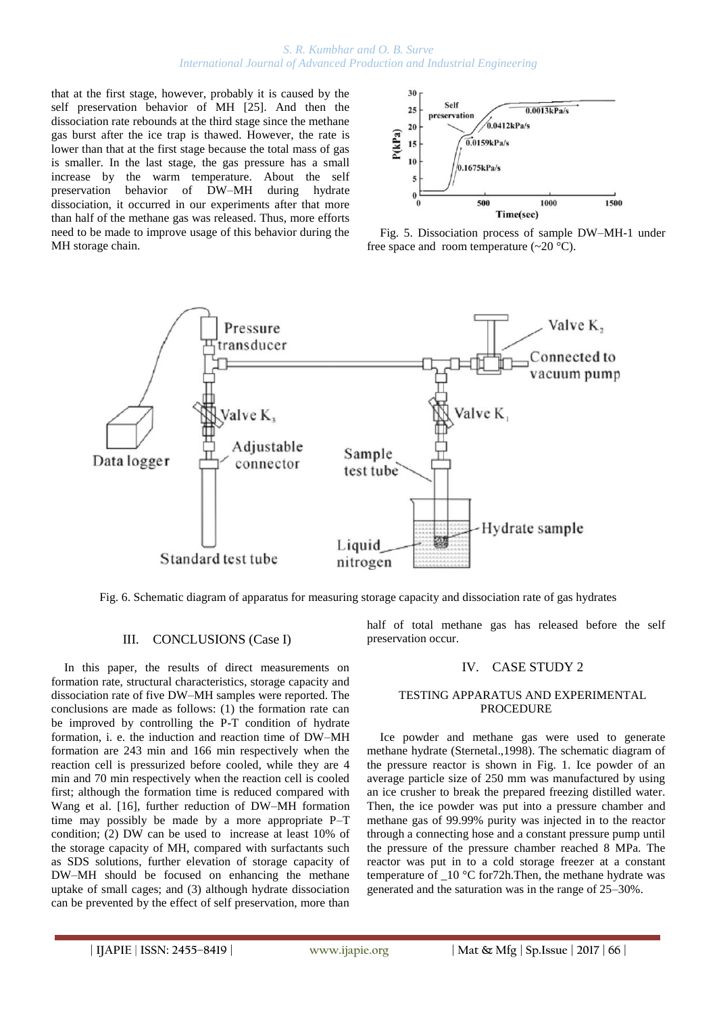## *S. R. Kumbhar and O. B. Surve International Journal of Advanced Production and Industrial Engineering*

that at the first stage, however, probably it is caused by the self preservation behavior of MH [25]. And then the dissociation rate rebounds at the third stage since the methane gas burst after the ice trap is thawed. However, the rate is lower than that at the first stage because the total mass of gas is smaller. In the last stage, the gas pressure has a small increase by the warm temperature. About the self preservation behavior of DW–MH during hydrate dissociation, it occurred in our experiments after that more than half of the methane gas was released. Thus, more efforts need to be made to improve usage of this behavior during the MH storage chain.



Fig. 5. Dissociation process of sample DW–MH-1 under free space and room temperature  $(\sim 20$  °C).



Fig. 6. Schematic diagram of apparatus for measuring storage capacity and dissociation rate of gas hydrates

# III. CONCLUSIONS (Case I)

In this paper, the results of direct measurements on formation rate, structural characteristics, storage capacity and dissociation rate of five DW–MH samples were reported. The conclusions are made as follows: (1) the formation rate can be improved by controlling the P-T condition of hydrate formation, i. e. the induction and reaction time of DW–MH formation are 243 min and 166 min respectively when the reaction cell is pressurized before cooled, while they are 4 min and 70 min respectively when the reaction cell is cooled first; although the formation time is reduced compared with Wang et al. [16], further reduction of DW–MH formation time may possibly be made by a more appropriate P–T condition; (2) DW can be used to increase at least 10% of the storage capacity of MH, compared with surfactants such as SDS solutions, further elevation of storage capacity of DW–MH should be focused on enhancing the methane uptake of small cages; and (3) although hydrate dissociation can be prevented by the effect of self preservation, more than

half of total methane gas has released before the self preservation occur.

# IV. CASE STUDY 2

## TESTING APPARATUS AND EXPERIMENTAL PROCEDURE

Ice powder and methane gas were used to generate methane hydrate (Sternetal.,1998). The schematic diagram of the pressure reactor is shown in Fig. 1. Ice powder of an average particle size of 250 mm was manufactured by using an ice crusher to break the prepared freezing distilled water. Then, the ice powder was put into a pressure chamber and methane gas of 99.99% purity was injected in to the reactor through a connecting hose and a constant pressure pump until the pressure of the pressure chamber reached 8 MPa. The reactor was put in to a cold storage freezer at a constant temperature of  $10 \degree C$  for 72h. Then, the methane hydrate was generated and the saturation was in the range of 25–30%.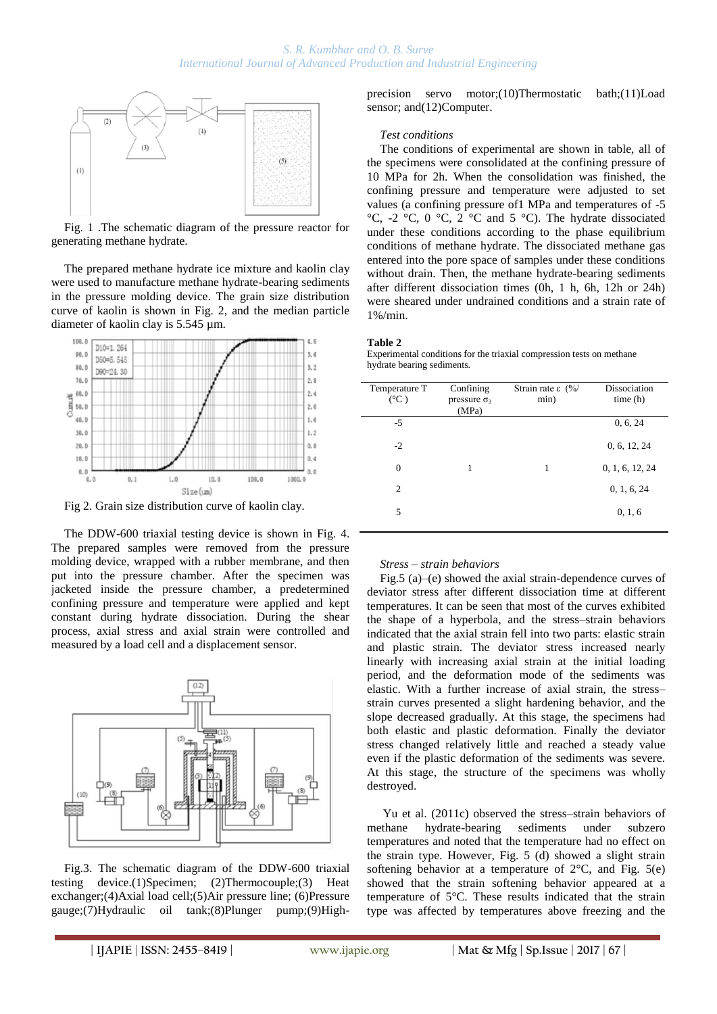

Fig. 1 .The schematic diagram of the pressure reactor for generating methane hydrate.

The prepared methane hydrate ice mixture and kaolin clay were used to manufacture methane hydrate-bearing sediments in the pressure molding device. The grain size distribution curve of kaolin is shown in Fig. 2, and the median particle diameter of kaolin clay is 5.545 µm.



Fig 2. Grain size distribution curve of kaolin clay.

The DDW-600 triaxial testing device is shown in Fig. 4. The prepared samples were removed from the pressure molding device, wrapped with a rubber membrane, and then put into the pressure chamber. After the specimen was jacketed inside the pressure chamber, a predetermined confining pressure and temperature were applied and kept constant during hydrate dissociation. During the shear process, axial stress and axial strain were controlled and measured by a load cell and a displacement sensor.



Fig.3. The schematic diagram of the DDW-600 triaxial testing device.(1)Specimen; (2)Thermocouple;(3) Heat exchanger;(4)Axial load cell;(5)Air pressure line; (6)Pressure gauge;(7)Hydraulic oil tank;(8)Plunger pump;(9)Highprecision servo motor;(10)Thermostatic bath;(11)Load sensor; and(12)Computer.

# *Test conditions*

The conditions of experimental are shown in table, all of the specimens were consolidated at the confining pressure of 10 MPa for 2h. When the consolidation was finished, the confining pressure and temperature were adjusted to set values (a confining pressure of1 MPa and temperatures of -5  $^{\circ}$ C, -2  $^{\circ}$ C, 0  $^{\circ}$ C, 2  $^{\circ}$ C and 5  $^{\circ}$ C). The hydrate dissociated under these conditions according to the phase equilibrium conditions of methane hydrate. The dissociated methane gas entered into the pore space of samples under these conditions without drain. Then, the methane hydrate-bearing sediments after different dissociation times (0h, 1 h, 6h, 12h or 24h) were sheared under undrained conditions and a strain rate of 1%/min.

#### **Table 2**

Experimental conditions for the triaxial compression tests on methane hydrate bearing sediments.

| Temperature T<br>$(^{\circ}C)$ | Confining<br>pressure $\sigma_3$<br>(MPa) | Strain rate ε $\frac{0}{0}$<br>min) | Dissociation<br>time(h) |
|--------------------------------|-------------------------------------------|-------------------------------------|-------------------------|
| $-5$                           |                                           |                                     | 0, 6, 24                |
| $-2$                           |                                           |                                     | 0, 6, 12, 24            |
| $\overline{0}$                 | 1                                         | 1                                   | 0, 1, 6, 12, 24         |
| 2                              |                                           |                                     | 0, 1, 6, 24             |
| 5                              |                                           |                                     | 0, 1, 6                 |

#### *Stress – strain behaviors*

Fig.5 (a)–(e) showed the axial strain-dependence curves of deviator stress after different dissociation time at different temperatures. It can be seen that most of the curves exhibited the shape of a hyperbola, and the stress–strain behaviors indicated that the axial strain fell into two parts: elastic strain and plastic strain. The deviator stress increased nearly linearly with increasing axial strain at the initial loading period, and the deformation mode of the sediments was elastic. With a further increase of axial strain, the stress– strain curves presented a slight hardening behavior, and the slope decreased gradually. At this stage, the specimens had both elastic and plastic deformation. Finally the deviator stress changed relatively little and reached a steady value even if the plastic deformation of the sediments was severe. At this stage, the structure of the specimens was wholly destroyed.

Yu et al. (2011c) observed the stress–strain behaviors of methane hydrate-bearing sediments under subzero temperatures and noted that the temperature had no effect on the strain type. However, Fig. 5 (d) showed a slight strain softening behavior at a temperature of  $2^{\circ}C$ , and Fig. 5(e) showed that the strain softening behavior appeared at a temperature of 5°C. These results indicated that the strain type was affected by temperatures above freezing and the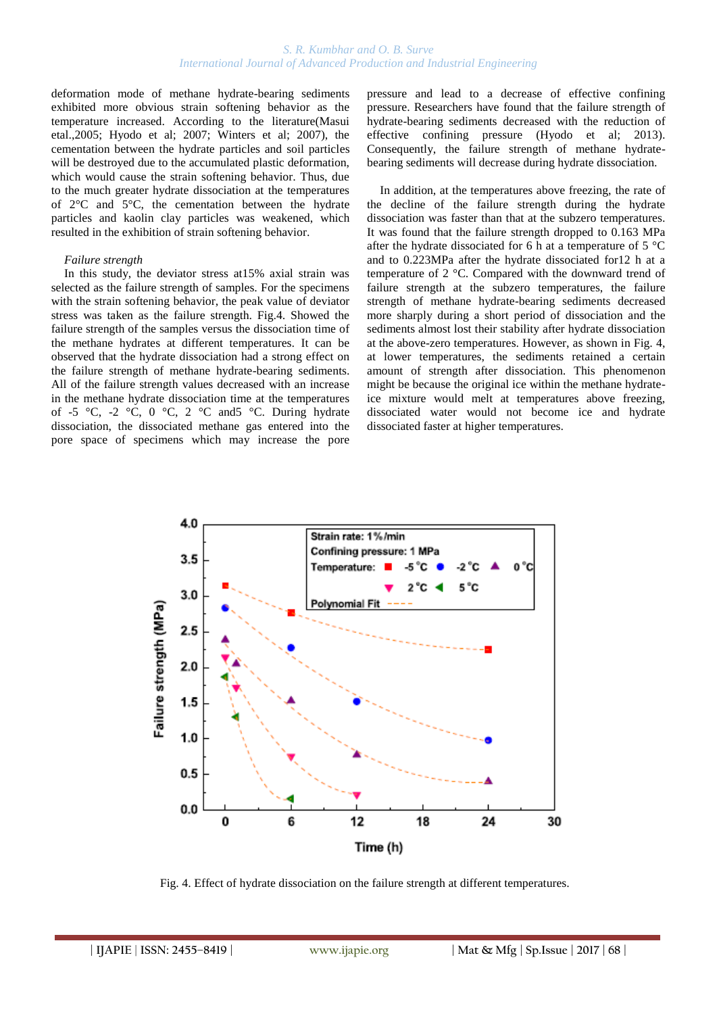## *S. R. Kumbhar and O. B. Surve International Journal of Advanced Production and Industrial Engineering*

deformation mode of methane hydrate-bearing sediments exhibited more obvious strain softening behavior as the temperature increased. According to the literature(Masui etal.,2005; Hyodo et al; 2007; Winters et al; 2007), the cementation between the hydrate particles and soil particles will be destroyed due to the accumulated plastic deformation, which would cause the strain softening behavior. Thus, due to the much greater hydrate dissociation at the temperatures of 2°C and 5°C, the cementation between the hydrate particles and kaolin clay particles was weakened, which resulted in the exhibition of strain softening behavior.

#### *Failure strength*

In this study, the deviator stress at15% axial strain was selected as the failure strength of samples. For the specimens with the strain softening behavior, the peak value of deviator stress was taken as the failure strength. Fig.4. Showed the failure strength of the samples versus the dissociation time of the methane hydrates at different temperatures. It can be observed that the hydrate dissociation had a strong effect on the failure strength of methane hydrate-bearing sediments. All of the failure strength values decreased with an increase in the methane hydrate dissociation time at the temperatures of -5 °C, -2 °C, 0 °C, 2 °C and 5 °C. During hydrate dissociation, the dissociated methane gas entered into the pore space of specimens which may increase the pore

pressure and lead to a decrease of effective confining pressure. Researchers have found that the failure strength of hydrate-bearing sediments decreased with the reduction of effective confining pressure (Hyodo et al; 2013). Consequently, the failure strength of methane hydratebearing sediments will decrease during hydrate dissociation.

In addition, at the temperatures above freezing, the rate of the decline of the failure strength during the hydrate dissociation was faster than that at the subzero temperatures. It was found that the failure strength dropped to 0.163 MPa after the hydrate dissociated for 6 h at a temperature of 5 °C and to 0.223MPa after the hydrate dissociated for12 h at a temperature of 2 °C. Compared with the downward trend of failure strength at the subzero temperatures, the failure strength of methane hydrate-bearing sediments decreased more sharply during a short period of dissociation and the sediments almost lost their stability after hydrate dissociation at the above-zero temperatures. However, as shown in Fig. 4, at lower temperatures, the sediments retained a certain amount of strength after dissociation. This phenomenon might be because the original ice within the methane hydrateice mixture would melt at temperatures above freezing, dissociated water would not become ice and hydrate dissociated faster at higher temperatures.



Fig. 4. Effect of hydrate dissociation on the failure strength at different temperatures.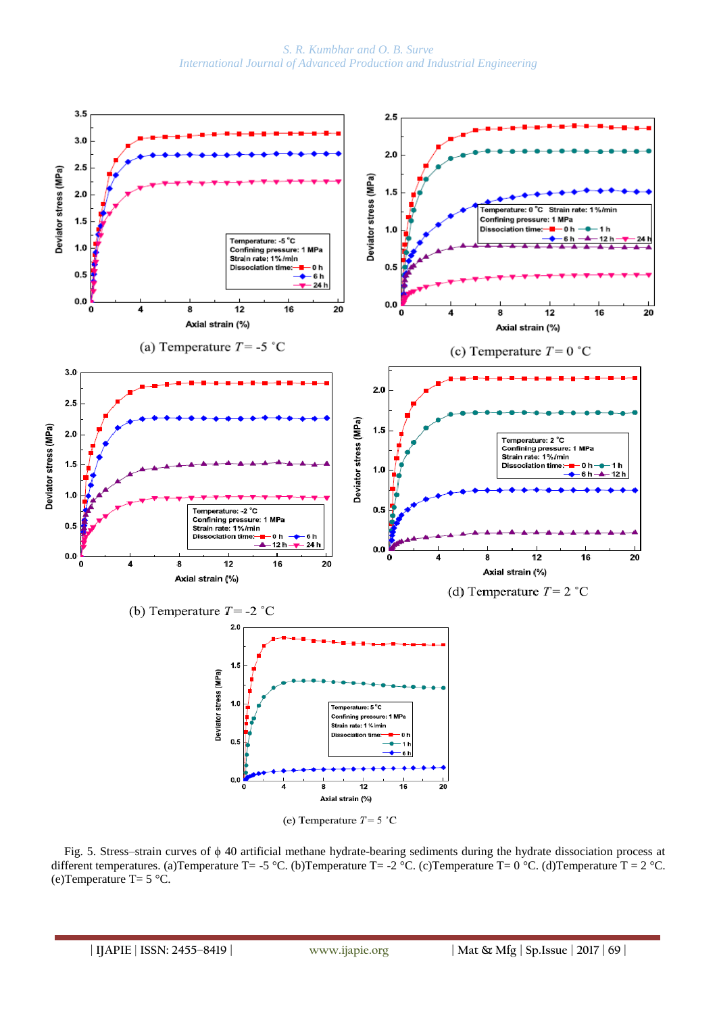*S. R. Kumbhar and O. B. Surve International Journal of Advanced Production and Industrial Engineering*



Fig. 5. Stress–strain curves of ϕ 40 artificial methane hydrate-bearing sediments during the hydrate dissociation process at different temperatures. (a)Temperature T= -5 °C. (b)Temperature T= -2 °C. (c)Temperature T= 0 °C. (d)Temperature T = 2 °C. (e)Temperature T=  $5^{\circ}$ C.